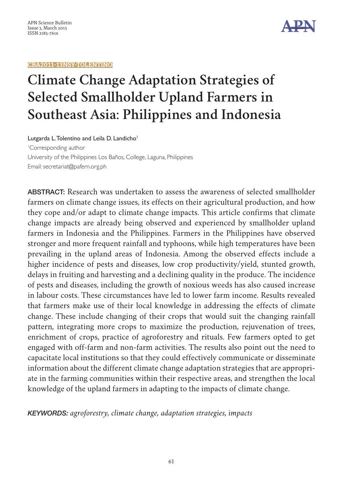



# **Climate Change Adaptation Strategies of Selected Smallholder Upland Farmers in Southeast Asia**: **Philippines and Indonesia**

Lutgarda L. Tolentino and Leila D. Landicho<sup>1</sup> 1 Corresponding author University of the Philippines Los Baños, College, Laguna, Philippines Email: [secretariat@pafern.org.ph](mailto:secretariat@pafern.org.ph)

ABSTRACT: Research was undertaken to assess the awareness of selected smallholder farmers on climate change issues, its effects on their agricultural production, and how they cope and/or adapt to climate change impacts. This article confirms that climate change impacts are already being observed and experienced by smallholder upland farmers in Indonesia and the Philippines. Farmers in the Philippines have observed stronger and more frequent rainfall and typhoons, while high temperatures have been prevailing in the upland areas of Indonesia. Among the observed effects include a higher incidence of pests and diseases, low crop productivity/yield, stunted growth, delays in fruiting and harvesting and a declining quality in the produce. The incidence of pests and diseases, including the growth of noxious weeds has also caused increase in labour costs. These circumstances have led to lower farm income. Results revealed that farmers make use of their local knowledge in addressing the effects of climate change. These include changing of their crops that would suit the changing rainfall pattern, integrating more crops to maximize the production, rejuvenation of trees, enrichment of crops, practice of agroforestry and rituals. Few farmers opted to get engaged with off-farm and non-farm activities. The results also point out the need to capacitate local institutions so that they could effectively communicate or disseminate information about the different climate change adaptation strategies that are appropriate in the farming communities within their respective areas, and strengthen the local knowledge of the upland farmers in adapting to the impacts of climate change.

KEYWORDS: *agroforestry, climate change, adaptation strategies, impacts*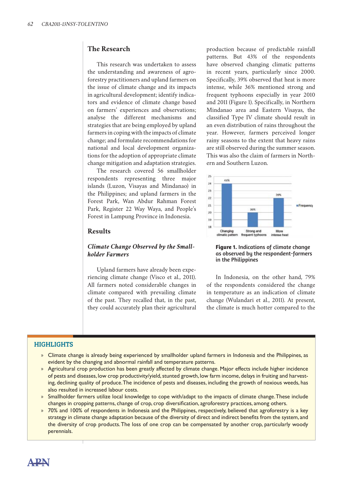# **The Research**

This research was undertaken to assess the understanding and awareness of agroforestry practitioners and upland farmers on the issue of climate change and its impacts in agricultural development; identify indicators and evidence of climate change based on farmers' experiences and observations; analyse the different mechanisms and strategies that are being employed by upland farmers in coping with the impacts of climate change; and formulate recommendations for national and local development organizations for the adoption of appropriate climate change mitigation and adaptation strategies.

The research covered 56 smallholder respondents representing three major islands (Luzon, Visayas and Mindanao) in the Philippines; and upland farmers in the Forest Park, Wan Abdur Rahman Forest Park, Register 22 Way Waya, and People's Forest in Lampung Province in Indonesia.

## **Results**

## *Climate Change Observed by the Smallholder Farmers*

Upland farmers have already been experiencing climate change (Visco et al., 2011). All farmers noted considerable changes in climate compared with prevailing climate of the past. They recalled that, in the past, they could accurately plan their agricultural production because of predictable rainfall patterns. But 43% of the respondents have observed changing climatic patterns in recent years, particularly since 2000. Specifically, 39% observed that heat is more intense, while 36% mentioned strong and frequent typhoons especially in year 2010 and 2011 (Figure 1). Specifically, in Northern Mindanao area and Eastern Visayas, the classified Type IV climate should result in an even distribution of rains throughout the year. However, farmers perceived longer rainy seasons to the extent that heavy rains are still observed during the summer season. This was also the claim of farmers in Northern and Southern Luzon.



#### **Figure 1.** Indications of climate change as observed by the respondent-farmers in the Philippines

In Indonesia, on the other hand, 79% of the respondents considered the change in temperature as an indication of climate change (Wulandari et al., 2011). At present, the climate is much hotter compared to the

## **HIGHLIGHTS**

- » Climate change is already being experienced by smallholder upland farmers in Indonesia and the Philippines, as evident by the changing and abnormal rainfall and temperature patterns.
- » Agricultural crop production has been greatly affected by climate change. Major effects include higher incidence of pests and diseases, low crop productivity/yield, stunted growth, low farm income, delays in fruiting and harvesting, declining quality of produce. The incidence of pests and diseases, including the growth of noxious weeds, has also resulted in increased labour costs.
- » Smallholder farmers utilize local knowledge to cope with/adapt to the impacts of climate change. These include changes in cropping patterns, change of crop, crop diversification, agroforestry practices, among others.
- » 70% and 100% of respondents in Indonesia and the Philippines, respectively, believed that agroforestry is a key strategy in climate change adaptation because of the diversity of direct and indirect benefits from the system, and the diversity of crop products. The loss of one crop can be compensated by another crop, particularly woody perennials.

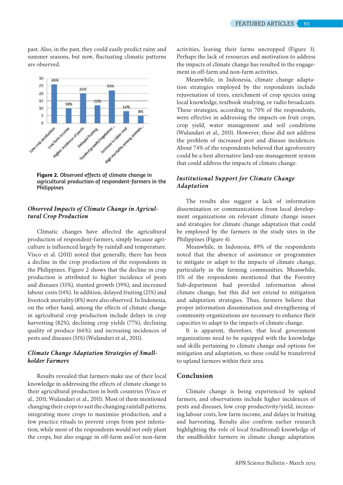past. Also, in the past, they could easily predict rainy and summer seasons, but now, fluctuating climatic patterns are observed.



**Figure 2.** Observed effects of climate change in agricultural production of respondent-farmers in the **Philippines** 

## *Observed Impacts of Climate Change in Agricultural Crop Production*

Climatic changes have affected the agricultural production of respondent-farmers, simply because agriculture is influenced largely by rainfall and temperature. Visco et al. (2011) noted that generally, there has been a decline in the crop production of the respondents in the Philippines. Figure 2 shows that the decline in crop production is attributed to higher incidence of pests and diseases (35%), stunted growth (39%), and increased labour costs (14%). In addition, delayed fruiting (21%) and livestock mortality (8%) were also observed. In Indonesia, on the other hand, among the effects of climate change in agricultural crop production include delays in crop harvesting (82%), declining crop yields (77%), declining quality of produce (66%); and increasing incidences of pests and diseases (51%) (Wulandari et al., 2011).

## *Climate Change Adaptation Strategies of Smallholder Farmers*

Results revealed that farmers make use of their local knowledge in addressing the effects of climate change to their agricultural production in both countries (Visco et al., 2011; Wulandari et al., 2011). Most of them mentioned changing their crops to suit the changing rainfall patterns, integrating more crops to maximize production, and a few practice rituals to prevent crops from pest infestation, while most of the respondents would not only plant the crops, but also engage in off-farm and/or non-farm activities, leaving their farms uncropped (Figure 3). Perhaps the lack of resources and motivation to address the impacts of climate change has resulted in the engagement in off-farm and non-farm activities.

Meanwhile, in Indonesia, climate change adaptation strategies employed by the respondents include rejuvenation of trees, enrichment of crop species using local knowledge, textbook studying, or radio broadcasts. These strategies, according to 70% of the respondents, were effective in addressing the impacts on fruit crops, crop yield, water management and soil conditions (Wulandari et al., 2011). However, these did not address the problem of increased pest and disease incidences. About 74% of the respondents believed that agroforestry could be a best alternative land-use management system that could address the impacts of climate change.

## *Institutional Support for Climate Change Adaptation*

The results also suggest a lack of information dissemination or communications from local development organizations on relevant climate change issues and strategies for climate change adaptation that could be employed by the farmers in the study sites in the Philippines (Figure 4).

Meanwhile, in Indonesia, 89% of the respondents noted that the absence of assistance or programmes to mitigate or adapt to the impacts of climate change, particularly in the farming communities. Meanwhile, 11% of the respondents mentioned that the Forestry Sub-department had provided information about climate change, but this did not extend to mitigation and adaptation strategies. Thus, farmers believe that proper information dissemination and strengthening of community organizations are necessary to enhance their capacities to adapt to the impacts of climate change.

It is apparent, therefore, that local government organizations need to be equipped with the knowledge and skills pertaining to climate change and options for mitigation and adaptation, so these could be transferred to upland farmers within their area.

## **Conclusion**

Climate change is being experienced by upland farmers, and observations include higher incidences of pests and diseases, low crop productivity/yield, increasing labour costs, low farm income, and delays in fruiting and harvesting. Results also confirm earlier research highlighting the role of local (traditional) knowledge of the smallholder farmers in climate change adaptation.